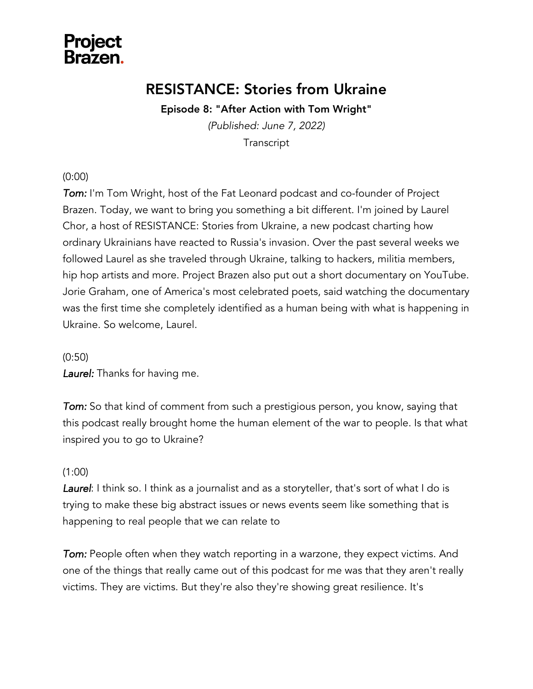

### RESISTANCE: Stories from Ukraine

Episode 8: "After Action with Tom Wright"

*(Published: June 7, 2022)* **Transcript** 

#### (0:00)

**Tom:** I'm Tom Wright, host of the Fat Leonard podcast and co-founder of Project Brazen. Today, we want to bring you something a bit different. I'm joined by Laurel Chor, a host of RESISTANCE: Stories from Ukraine, a new podcast charting how ordinary Ukrainians have reacted to Russia's invasion. Over the past several weeks we followed Laurel as she traveled through Ukraine, talking to hackers, militia members, hip hop artists and more. Project Brazen also put out a short documentary on YouTube. Jorie Graham, one of America's most celebrated poets, said watching the documentary was the first time she completely identified as a human being with what is happening in Ukraine. So welcome, Laurel.

(0:50)

*Laurel:* Thanks for having me.

*Tom:* So that kind of comment from such a prestigious person, you know, saying that this podcast really brought home the human element of the war to people. Is that what inspired you to go to Ukraine?

#### (1:00)

*Laurel*: I think so. I think as a journalist and as a storyteller, that's sort of what I do is trying to make these big abstract issues or news events seem like something that is happening to real people that we can relate to

**Tom:** People often when they watch reporting in a warzone, they expect victims. And one of the things that really came out of this podcast for me was that they aren't really victims. They are victims. But they're also they're showing great resilience. It's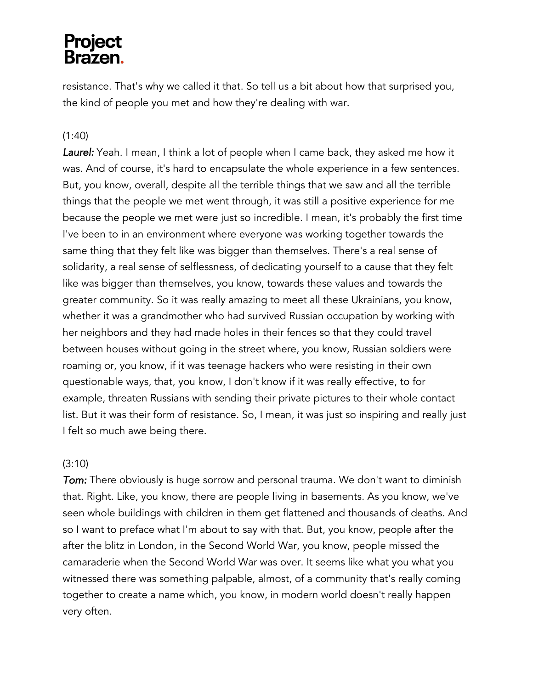resistance. That's why we called it that. So tell us a bit about how that surprised you, the kind of people you met and how they're dealing with war.

#### (1:40)

*Laurel:* Yeah. I mean, I think a lot of people when I came back, they asked me how it was. And of course, it's hard to encapsulate the whole experience in a few sentences. But, you know, overall, despite all the terrible things that we saw and all the terrible things that the people we met went through, it was still a positive experience for me because the people we met were just so incredible. I mean, it's probably the first time I've been to in an environment where everyone was working together towards the same thing that they felt like was bigger than themselves. There's a real sense of solidarity, a real sense of selflessness, of dedicating yourself to a cause that they felt like was bigger than themselves, you know, towards these values and towards the greater community. So it was really amazing to meet all these Ukrainians, you know, whether it was a grandmother who had survived Russian occupation by working with her neighbors and they had made holes in their fences so that they could travel between houses without going in the street where, you know, Russian soldiers were roaming or, you know, if it was teenage hackers who were resisting in their own questionable ways, that, you know, I don't know if it was really effective, to for example, threaten Russians with sending their private pictures to their whole contact list. But it was their form of resistance. So, I mean, it was just so inspiring and really just I felt so much awe being there.

#### (3:10)

*Tom:* There obviously is huge sorrow and personal trauma. We don't want to diminish that. Right. Like, you know, there are people living in basements. As you know, we've seen whole buildings with children in them get flattened and thousands of deaths. And so I want to preface what I'm about to say with that. But, you know, people after the after the blitz in London, in the Second World War, you know, people missed the camaraderie when the Second World War was over. It seems like what you what you witnessed there was something palpable, almost, of a community that's really coming together to create a name which, you know, in modern world doesn't really happen very often.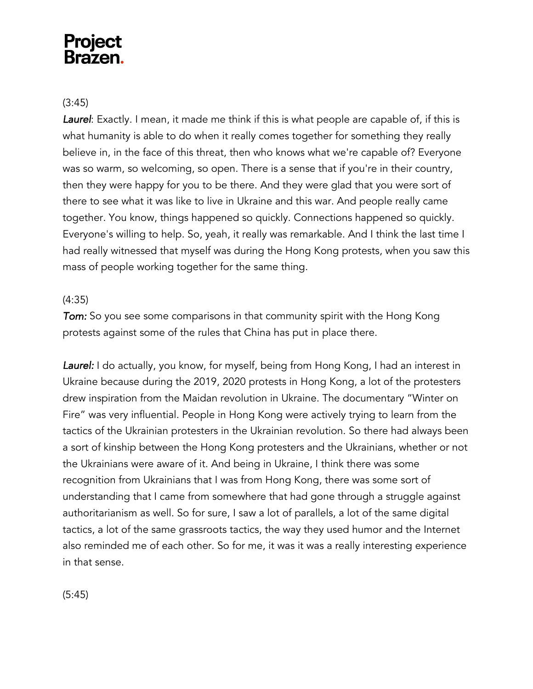#### (3:45)

*Laurel*: Exactly. I mean, it made me think if this is what people are capable of, if this is what humanity is able to do when it really comes together for something they really believe in, in the face of this threat, then who knows what we're capable of? Everyone was so warm, so welcoming, so open. There is a sense that if you're in their country, then they were happy for you to be there. And they were glad that you were sort of there to see what it was like to live in Ukraine and this war. And people really came together. You know, things happened so quickly. Connections happened so quickly. Everyone's willing to help. So, yeah, it really was remarkable. And I think the last time I had really witnessed that myself was during the Hong Kong protests, when you saw this mass of people working together for the same thing.

#### (4:35)

*Tom:* So you see some comparisons in that community spirit with the Hong Kong protests against some of the rules that China has put in place there.

Laurel: I do actually, you know, for myself, being from Hong Kong, I had an interest in Ukraine because during the 2019, 2020 protests in Hong Kong, a lot of the protesters drew inspiration from the Maidan revolution in Ukraine. The documentary "Winter on Fire" was very influential. People in Hong Kong were actively trying to learn from the tactics of the Ukrainian protesters in the Ukrainian revolution. So there had always been a sort of kinship between the Hong Kong protesters and the Ukrainians, whether or not the Ukrainians were aware of it. And being in Ukraine, I think there was some recognition from Ukrainians that I was from Hong Kong, there was some sort of understanding that I came from somewhere that had gone through a struggle against authoritarianism as well. So for sure, I saw a lot of parallels, a lot of the same digital tactics, a lot of the same grassroots tactics, the way they used humor and the Internet also reminded me of each other. So for me, it was it was a really interesting experience in that sense.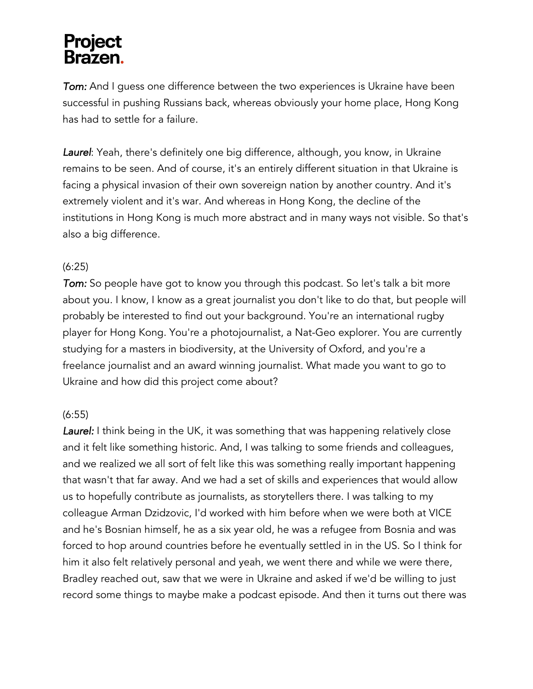*Tom:* And I guess one difference between the two experiences is Ukraine have been successful in pushing Russians back, whereas obviously your home place, Hong Kong has had to settle for a failure.

*Laurel*: Yeah, there's definitely one big difference, although, you know, in Ukraine remains to be seen. And of course, it's an entirely different situation in that Ukraine is facing a physical invasion of their own sovereign nation by another country. And it's extremely violent and it's war. And whereas in Hong Kong, the decline of the institutions in Hong Kong is much more abstract and in many ways not visible. So that's also a big difference.

#### (6:25)

*Tom:* So people have got to know you through this podcast. So let's talk a bit more about you. I know, I know as a great journalist you don't like to do that, but people will probably be interested to find out your background. You're an international rugby player for Hong Kong. You're a photojournalist, a Nat-Geo explorer. You are currently studying for a masters in biodiversity, at the University of Oxford, and you're a freelance journalist and an award winning journalist. What made you want to go to Ukraine and how did this project come about?

#### (6:55)

Laurel: I think being in the UK, it was something that was happening relatively close and it felt like something historic. And, I was talking to some friends and colleagues, and we realized we all sort of felt like this was something really important happening that wasn't that far away. And we had a set of skills and experiences that would allow us to hopefully contribute as journalists, as storytellers there. I was talking to my colleague Arman Dzidzovic, I'd worked with him before when we were both at VICE and he's Bosnian himself, he as a six year old, he was a refugee from Bosnia and was forced to hop around countries before he eventually settled in in the US. So I think for him it also felt relatively personal and yeah, we went there and while we were there, Bradley reached out, saw that we were in Ukraine and asked if we'd be willing to just record some things to maybe make a podcast episode. And then it turns out there was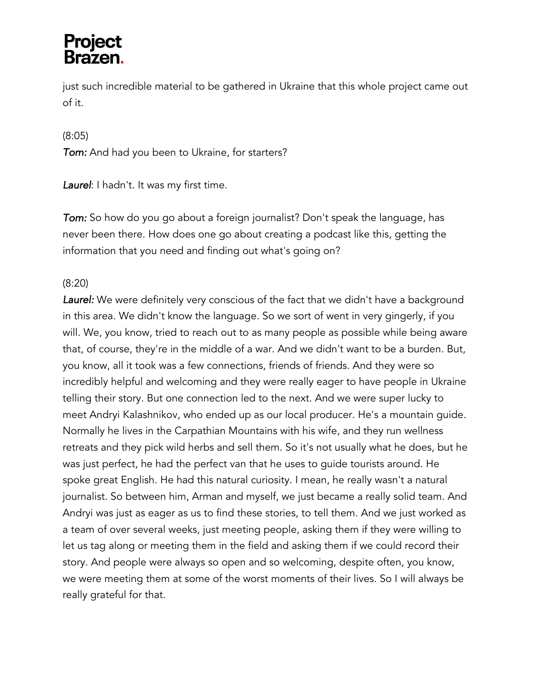just such incredible material to be gathered in Ukraine that this whole project came out of it.

(8:05)

*Tom:* And had you been to Ukraine, for starters?

*Laurel*: I hadn't. It was my first time.

*Tom:* So how do you go about a foreign journalist? Don't speak the language, has never been there. How does one go about creating a podcast like this, getting the information that you need and finding out what's going on?

#### (8:20)

Laurel: We were definitely very conscious of the fact that we didn't have a background in this area. We didn't know the language. So we sort of went in very gingerly, if you will. We, you know, tried to reach out to as many people as possible while being aware that, of course, they're in the middle of a war. And we didn't want to be a burden. But, you know, all it took was a few connections, friends of friends. And they were so incredibly helpful and welcoming and they were really eager to have people in Ukraine telling their story. But one connection led to the next. And we were super lucky to meet Andryi Kalashnikov, who ended up as our local producer. He's a mountain guide. Normally he lives in the Carpathian Mountains with his wife, and they run wellness retreats and they pick wild herbs and sell them. So it's not usually what he does, but he was just perfect, he had the perfect van that he uses to guide tourists around. He spoke great English. He had this natural curiosity. I mean, he really wasn't a natural journalist. So between him, Arman and myself, we just became a really solid team. And Andryi was just as eager as us to find these stories, to tell them. And we just worked as a team of over several weeks, just meeting people, asking them if they were willing to let us tag along or meeting them in the field and asking them if we could record their story. And people were always so open and so welcoming, despite often, you know, we were meeting them at some of the worst moments of their lives. So I will always be really grateful for that.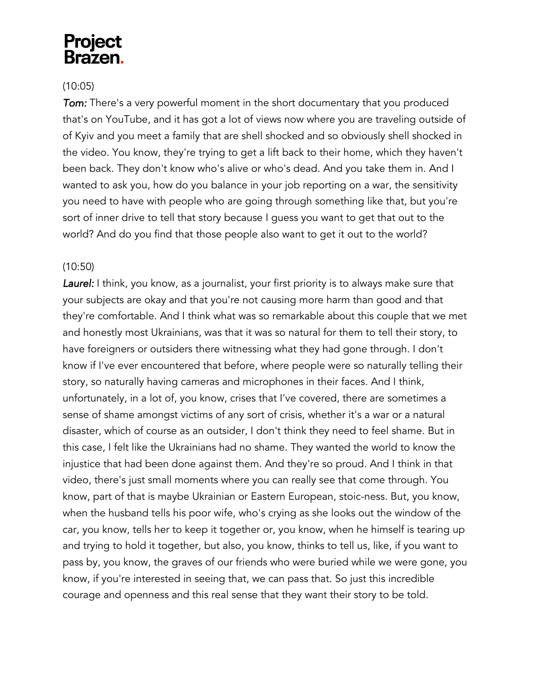### **Project** Brazen.

#### (10:05)

*Tom:* There's a very powerful moment in the short documentary that you produced that's on YouTube, and it has got a lot of views now where you are traveling outside of of Kyiv and you meet a family that are shell shocked and so obviously shell shocked in the video. You know, they're trying to get a lift back to their home, which they haven't been back. They don't know who's alive or who's dead. And you take them in. And I wanted to ask you, how do you balance in your job reporting on a war, the sensitivity you need to have with people who are going through something like that, but you're sort of inner drive to tell that story because I guess you want to get that out to the world? And do you find that those people also want to get it out to the world?

#### (10:50)

Laurel: I think, you know, as a journalist, your first priority is to always make sure that your subjects are okay and that you're not causing more harm than good and that they're comfortable. And I think what was so remarkable about this couple that we met and honestly most Ukrainians, was that it was so natural for them to tell their story, to have foreigners or outsiders there witnessing what they had gone through. I don't know if I've ever encountered that before, where people were so naturally telling their story, so naturally having cameras and microphones in their faces. And I think, unfortunately, in a lot of, you know, crises that I've covered, there are sometimes a sense of shame amongst victims of any sort of crisis, whether it's a war or a natural disaster, which of course as an outsider, I don't think they need to feel shame. But in this case, I felt like the Ukrainians had no shame. They wanted the world to know the injustice that had been done against them. And they're so proud. And I think in that video, there's just small moments where you can really see that come through. You know, part of that is maybe Ukrainian or Eastern European, stoic-ness. But, you know, when the husband tells his poor wife, who's crying as she looks out the window of the car, you know, tells her to keep it together or, you know, when he himself is tearing up and trying to hold it together, but also, you know, thinks to tell us, like, if you want to pass by, you know, the graves of our friends who were buried while we were gone, you know, if you're interested in seeing that, we can pass that. So just this incredible courage and openness and this real sense that they want their story to be told.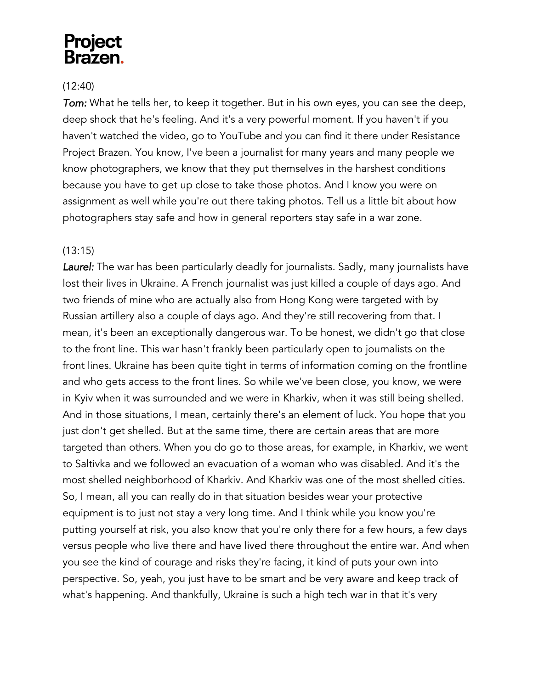### **Project** Brazen.

#### (12:40)

*Tom:* What he tells her, to keep it together. But in his own eyes, you can see the deep, deep shock that he's feeling. And it's a very powerful moment. If you haven't if you haven't watched the video, go to YouTube and you can find it there under Resistance Project Brazen. You know, I've been a journalist for many years and many people we know photographers, we know that they put themselves in the harshest conditions because you have to get up close to take those photos. And I know you were on assignment as well while you're out there taking photos. Tell us a little bit about how photographers stay safe and how in general reporters stay safe in a war zone.

#### (13:15)

Laurel: The war has been particularly deadly for journalists. Sadly, many journalists have lost their lives in Ukraine. A French journalist was just killed a couple of days ago. And two friends of mine who are actually also from Hong Kong were targeted with by Russian artillery also a couple of days ago. And they're still recovering from that. I mean, it's been an exceptionally dangerous war. To be honest, we didn't go that close to the front line. This war hasn't frankly been particularly open to journalists on the front lines. Ukraine has been quite tight in terms of information coming on the frontline and who gets access to the front lines. So while we've been close, you know, we were in Kyiv when it was surrounded and we were in Kharkiv, when it was still being shelled. And in those situations, I mean, certainly there's an element of luck. You hope that you just don't get shelled. But at the same time, there are certain areas that are more targeted than others. When you do go to those areas, for example, in Kharkiv, we went to Saltivka and we followed an evacuation of a woman who was disabled. And it's the most shelled neighborhood of Kharkiv. And Kharkiv was one of the most shelled cities. So, I mean, all you can really do in that situation besides wear your protective equipment is to just not stay a very long time. And I think while you know you're putting yourself at risk, you also know that you're only there for a few hours, a few days versus people who live there and have lived there throughout the entire war. And when you see the kind of courage and risks they're facing, it kind of puts your own into perspective. So, yeah, you just have to be smart and be very aware and keep track of what's happening. And thankfully, Ukraine is such a high tech war in that it's very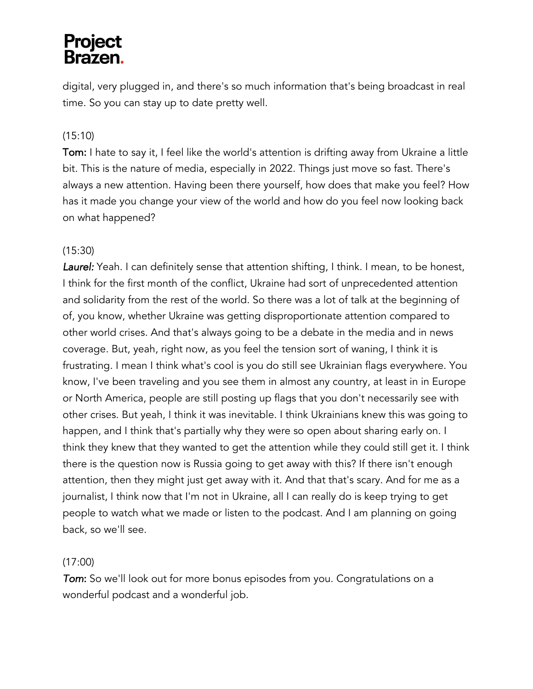digital, very plugged in, and there's so much information that's being broadcast in real time. So you can stay up to date pretty well.

#### (15:10)

Tom: I hate to say it, I feel like the world's attention is drifting away from Ukraine a little bit. This is the nature of media, especially in 2022. Things just move so fast. There's always a new attention. Having been there yourself, how does that make you feel? How has it made you change your view of the world and how do you feel now looking back on what happened?

#### (15:30)

*Laurel:* Yeah. I can definitely sense that attention shifting, I think. I mean, to be honest, I think for the first month of the conflict, Ukraine had sort of unprecedented attention and solidarity from the rest of the world. So there was a lot of talk at the beginning of of, you know, whether Ukraine was getting disproportionate attention compared to other world crises. And that's always going to be a debate in the media and in news coverage. But, yeah, right now, as you feel the tension sort of waning, I think it is frustrating. I mean I think what's cool is you do still see Ukrainian flags everywhere. You know, I've been traveling and you see them in almost any country, at least in in Europe or North America, people are still posting up flags that you don't necessarily see with other crises. But yeah, I think it was inevitable. I think Ukrainians knew this was going to happen, and I think that's partially why they were so open about sharing early on. I think they knew that they wanted to get the attention while they could still get it. I think there is the question now is Russia going to get away with this? If there isn't enough attention, then they might just get away with it. And that that's scary. And for me as a journalist, I think now that I'm not in Ukraine, all I can really do is keep trying to get people to watch what we made or listen to the podcast. And I am planning on going back, so we'll see.

#### (17:00)

*Tom*: So we'll look out for more bonus episodes from you. Congratulations on a wonderful podcast and a wonderful job.